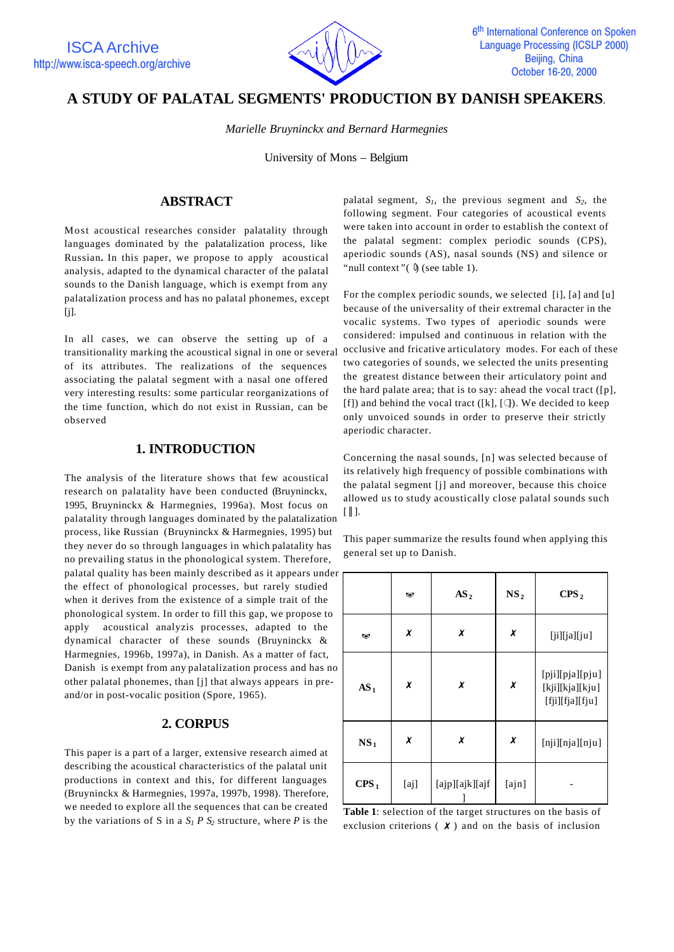

# **A STUDY OF PALATAL SEGMENTS' PRODUCTION BY DANISH SPEAKERS**.

*Marielle Bruyninckx and Bernard Harmegnies*

University of Mons – Belgium

### **ABSTRACT**

Most acoustical researches consider palatality through languages dominated by the palatalization process, like Russian**.** In this paper, we propose to apply acoustical analysis, adapted to the dynamical character of the palatal sounds to the Danish language, which is exempt from any palatalization process and has no palatal phonemes, except [j].

In all cases, we can observe the setting up of a transitionality marking the acoustical signal in one or several of its attributes. The realizations of the sequences associating the palatal segment with a nasal one offered very interesting results: some particular reorganizations of the time function, which do not exist in Russian, can be observed

# **1. INTRODUCTION**

The analysis of the literature shows that few acoustical research on palatality have been conducted (Bruyninckx, 1995, Bruyninckx & Harmegnies, 1996a). Most focus on palatality through languages dominated by the palatalization process, like Russian (Bruyninckx & Harmegnies, 1995) but they never do so through languages in which palatality has no prevailing status in the phonological system. Therefore, palatal quality has been mainly described as it appears under the effect of phonological processes, but rarely studied when it derives from the existence of a simple trait of the phonological system. In order to fill this gap, we propose to apply acoustical analyzis processes, adapted to the dynamical character of these sounds (Bruyninckx & Harmegnies, 1996b, 1997a), in Danish. As a matter of fact, Danish is exempt from any palatalization process and has no other palatal phonemes, than [j] that always appears in preand/or in post-vocalic position (Spore, 1965).

# **2. CORPUS**

This paper is a part of a larger, extensive research aimed at describing the acoustical characteristics of the palatal unit productions in context and this, for different languages (Bruyninckx & Harmegnies, 1997a, 1997b, 1998). Therefore, we needed to explore all the sequences that can be created by the variations of S in a  $S_1 P S_2$  structure, where *P* is the

palatal segment, *S1*, the previous segment and *S2*, the following segment. Four categories of acoustical events were taken into account in order to establish the context of the palatal segment: complex periodic sounds (CPS), aperiodic sounds (AS), nasal sounds (NS) and silence or "null context" $(\emptyset)$  (see table 1).

For the complex periodic sounds, we selected [i], [a] and [u] because of the universality of their extremal character in the vocalic systems. Two types of aperiodic sounds were considered: impulsed and continuous in relation with the occlusive and fricative articulatory modes. For each of these two categories of sounds, we selected the units presenting the greatest distance between their articulatory point and the hard palate area; that is to say: ahead the vocal tract  $([p],$ [f]) and behind the vocal tract ([k], [ $\downarrow$ ]). We decided to keep only unvoiced sounds in order to preserve their strictly aperiodic character.

Concerning the nasal sounds, [n] was selected because of its relatively high frequency of possible combinations with the palatal segment [j] and moreover, because this choice allowed us to study acoustically close palatal sounds such  $[ \parallel ]$ .

This paper summarize the results found when applying this general set up to Danish.

|                  | $\bullet$ | AS <sub>2</sub> | NS <sub>2</sub>              | CPS <sub>2</sub>                                      |  |
|------------------|-----------|-----------------|------------------------------|-------------------------------------------------------|--|
| $\bullet$        | X         | X               | $\pmb{\chi}$<br>[ji][ja][ju] |                                                       |  |
| AS <sub>1</sub>  | X         | X               | X                            | [pji][pja][pju]<br>[kji][kja][kju]<br>[fji][fja][fju] |  |
| NS <sub>1</sub>  | X         | x               | X                            | [nji][nja][nju]                                       |  |
| CPS <sub>1</sub> | [aj]      | [ajp][ajk][ajf  | [ajn]                        |                                                       |  |

**Table 1**: selection of the target structures on the basis of exclusion criterions  $(X)$  and on the basis of inclusion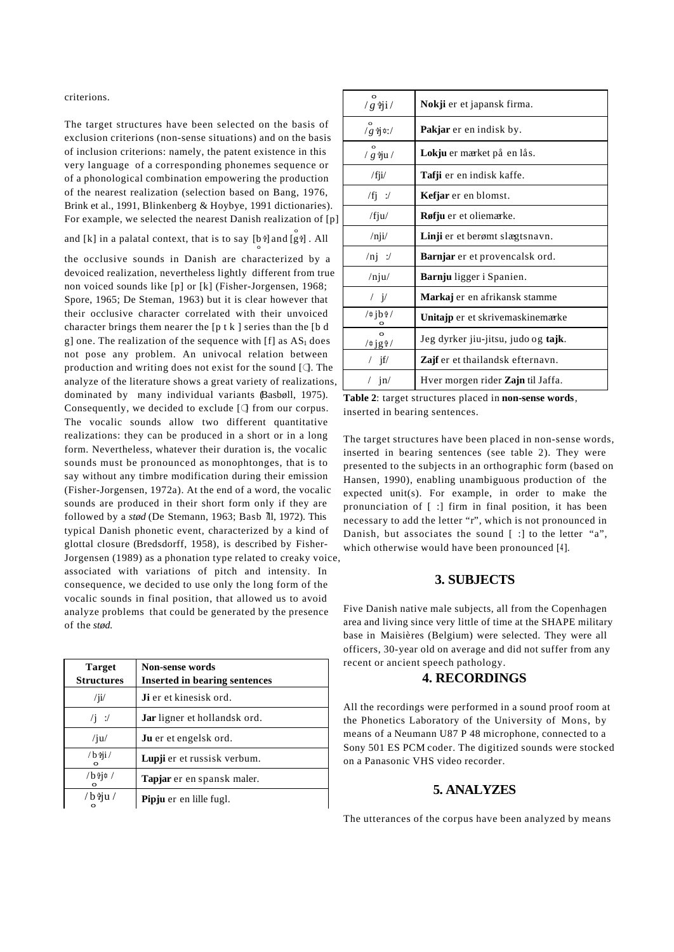criterions.

The target structures have been selected on the basis of exclusion criterions (non-sense situations) and on the basis of inclusion criterions: namely, the patent existence in this very language of a corresponding phonemes sequence or of a phonological combination empowering the production of the nearest realization (selection based on Bang, 1976, Brink et al., 1991, Blinkenberg & Hoybye, 1991 dictionaries). For example, we selected the nearest Danish realization of [p]

and [k] in a palatal context, that is to say [b  $\frac{3}{5}$ ] and [g  $\frac{3}{5}$ ]. All

the occlusive sounds in Danish are characterized by a devoiced realization, nevertheless lightly different from true non voiced sounds like [p] or [k] (Fisher-Jorgensen, 1968; Spore, 1965; De Steman, 1963) but it is clear however that their occlusive character correlated with their unvoiced character brings them nearer the [p t k ] series than the [b d g] one. The realization of the sequence with  $[f]$  as  $AS<sub>1</sub>$  does not pose any problem. An univocal relation between production and writing does not exist for the sound  $[ $\bigcirc$ . The$ analyze of the literature shows a great variety of realizations, dominated by many individual variants (Basbøll, 1975). Consequently, we decided to exclude  $[$  from our corpus. The vocalic sounds allow two different quantitative realizations: they can be produced in a short or in a long form. Nevertheless, whatever their duration is, the vocalic sounds must be pronounced as monophtonges, that is to say without any timbre modification during their emission (Fisher-Jorgensen, 1972a). At the end of a word, the vocalic sounds are produced in their short form only if they are followed by a *stød* (De Stemann, 1963; Basb *I*ll, 1972). This typical Danish phonetic event, characterized by a kind of glottal closure (Bredsdorff, 1958), is described by Fisher-Jorgensen (1989) as a phonation type related to creaky voice, associated with variations of pitch and intensity. In consequence, we decided to use only the long form of the vocalic sounds in final position, that allowed us to avoid analyze problems that could be generated by the presence of the *stød.*

| <b>Target</b><br><b>Structures</b> | <b>Non-sense words</b><br><b>Inserted in bearing sentences</b> |
|------------------------------------|----------------------------------------------------------------|
| $\frac{1}{11}$                     | <b>Ji</b> er et kinesisk ord.                                  |
| $\sqrt{1}$ :/                      | <b>Jar</b> ligner et hollandsk ord.                            |
| $/$ ju $/$                         | <b>Ju</b> er et engelsk ord.                                   |
| $/b \hat{v}$ i/                    | Lupji er et russisk verbum.                                    |
| $/b$ ii¤ /                         | Tapjar er en spansk maler.                                     |
| / b tju /<br>$\circ$               | Pipju er en lille fugl.                                        |

| $\frac{1}{g}$ $\frac{1}{g}$ $\frac{1}{g}$ | Nokji er et japansk firma.               |
|-------------------------------------------|------------------------------------------|
| $/g \nexists i \in I$                     | <b>Pakjar</b> er en indisk by.           |
| $/g$ iju/                                 | Lokju er mærket på en lås.               |
| $/$ fji $/$                               | <b>Tafji</b> er en indisk kaffe.         |
| $/fj$ :/                                  | Kefjar er en blomst.                     |
| /fju/                                     | Røfju er et oliemærke.                   |
| $/$ nji $/$                               | Linji er et berømt slægtsnavn.           |
| $/ni$ :/                                  | <b>Barnjar</b> er et provencalsk ord.    |
| $/$ nju $/$                               | <b>Barnju</b> ligger i Spanien.          |
| $\sqrt{V}$                                | Markaj er en afrikansk stamme            |
| /¢jbî/                                    | Unitajp er et skrivemaskinemærke         |
| $\Omega$<br>$\sqrt{4j}g^2/$               | Jeg dyrker jiu-jitsu, judo og tajk.      |
| / $if/$                                   | <b>Zajf</b> er et thailandsk efternavn.  |
| $/$ in/                                   | Hver morgen rider <b>Zajn</b> til Jaffa. |

**Table 2**: target structures placed in **non-sense words**, inserted in bearing sentences.

The target structures have been placed in non-sense words, inserted in bearing sentences (see table 2). They were presented to the subjects in an orthographic form (based on Hansen, 1990), enabling unambiguous production of the expected unit(s). For example, in order to make the pronunciation of [ :] firm in final position, it has been necessary to add the letter "r", which is not pronounced in Danish, but associates the sound [ :] to the letter "a", which otherwise would have been pronounced [4].

### **3. SUBJECTS**

Five Danish native male subjects, all from the Copenhagen area and living since very little of time at the SHAPE military base in Maisières (Belgium) were selected. They were all officers, 30-year old on average and did not suffer from any recent or ancient speech pathology.

#### **4. RECORDINGS**

All the recordings were performed in a sound proof room at the Phonetics Laboratory of the University of Mons, by means of a Neumann U87 P 48 microphone, connected to a Sony 501 ES PCM coder. The digitized sounds were stocked on a Panasonic VHS video recorder.

### **5. ANALYZES**

The utterances of the corpus have been analyzed by means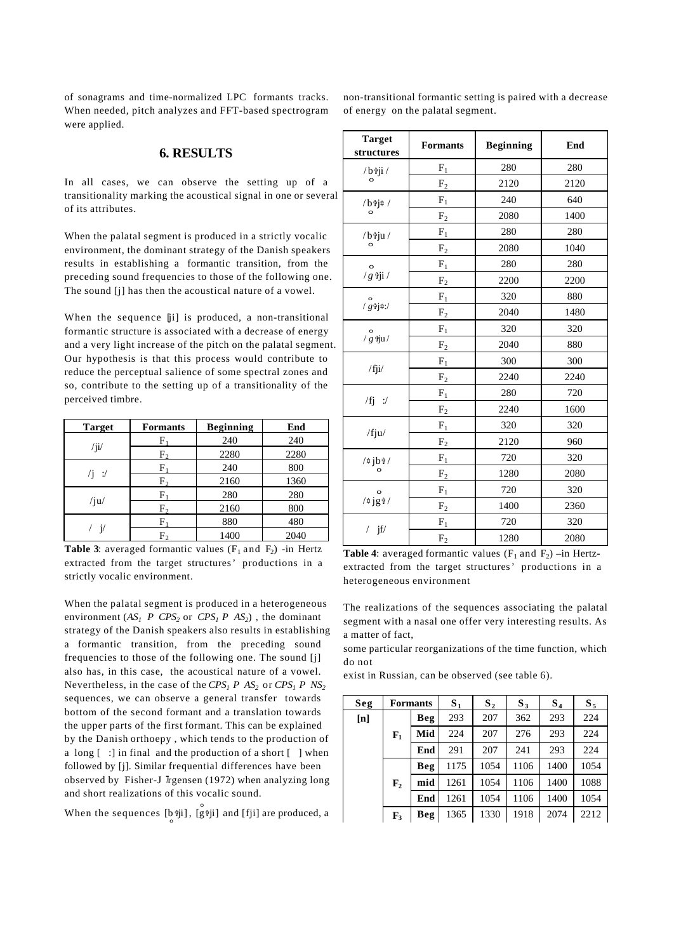of sonagrams and time-normalized LPC formants tracks. When needed, pitch analyzes and FFT-based spectrogram were applied.

### **6. RESULTS**

In all cases, we can observe the setting up of a transitionality marking the acoustical signal in one or several of its attributes.

When the palatal segment is produced in a strictly vocalic environment, the dominant strategy of the Danish speakers results in establishing a formantic transition, from the preceding sound frequencies to those of the following one. The sound [j] has then the acoustical nature of a vowel.

When the sequence [ji] is produced, a non-transitional formantic structure is associated with a decrease of energy and a very light increase of the pitch on the palatal segment. Our hypothesis is that this process would contribute to reduce the perceptual salience of some spectral zones and so, contribute to the setting up of a transitionality of the perceived timbre.

| <b>Target</b> | Formants | <b>Beginning</b> | End  |  |
|---------------|----------|------------------|------|--|
|               | F        | 240              | 240  |  |
| $\frac{1}{1}$ | F,       | 2280             | 2280 |  |
|               | F,       | 240              | 800  |  |
| $\sqrt{1}$ :/ | F,       | 2160             | 1360 |  |
| $/$ ju $/$    | F        | 280              | 280  |  |
|               | F۰       | 2160             | 800  |  |
|               | F        | 880              | 480  |  |
|               | F,       | 1400             | 2040 |  |

**Table 3**: averaged formantic values  $(F_1$  and  $F_2)$  -in Hertz extracted from the target structures' productions in a strictly vocalic environment.

When the palatal segment is produced in a heterogeneous environment  $(AS_I \t P \t CPS_2 \t O \t CPS_1 \t P \t AS_2)$ , the dominant strategy of the Danish speakers also results in establishing a formantic transition, from the preceding sound frequencies to those of the following one. The sound [j] also has, in this case, the acoustical nature of a vowel. Nevertheless, in the case of the  $CPS<sub>1</sub> P AS<sub>2</sub>$  or  $CPS<sub>1</sub> P NS<sub>2</sub>$ sequences, we can observe a general transfer towards bottom of the second formant and a translation towards the upper parts of the first formant. This can be explained by the Danish orthoepy , which tends to the production of a long  $\lceil$  :  $\rceil$  in final and the production of a short  $\lceil$   $\rceil$  when followed by [j]. Similar frequential differences have been observed by Fisher-J  $\pi$ gensen (1972) when analyzing long and short realizations of this vocalic sound.

When the sequences  $\left[\begin{smallmatrix} 0 & \phi \\ \phi & \phi \end{smallmatrix}\right]$ ,  $\left[\begin{smallmatrix} 0 & \phi \\ g & \phi \end{smallmatrix}\right]$  and  $\left[\begin{smallmatrix} f & \phi \\ f & \phi \end{smallmatrix}\right]$  are produced, a

non-transitional formantic setting is paired with a decrease of energy on the palatal segment.

| <b>Target</b><br>structures | <b>Formants</b> | <b>Beginning</b>    | End  |  |
|-----------------------------|-----------------|---------------------|------|--|
| $/b$ iji/                   | $F_1$           | 280                 | 280  |  |
| $\circ$                     | F <sub>2</sub>  | 2120                | 2120 |  |
| /b <sup>3</sup> j¢/         | $\mathbf{F}_1$  | 240                 | 640  |  |
| $\circ$                     | F <sub>2</sub>  | 2080                | 1400 |  |
| $/b$ iu/                    | $\mathbf{F}_1$  | 280                 | 280  |  |
| $\circ$                     | $\rm F_2$       | 2080                | 1040 |  |
| $\circ$                     | $F_1$           | 280                 | 280  |  |
| $/g$ iji/                   | $\rm F_2$       | 2200                | 2200 |  |
| $/\stackrel{\rm o}{g}$ j#:/ | $\mathbf{F}_1$  | 320                 | 880  |  |
|                             | F <sub>2</sub>  | 2040                | 1480 |  |
|                             | $F_1$           | 320                 | 320  |  |
| $\frac{1}{g}$ iju/          | F <sub>2</sub>  | 2040                | 880  |  |
| /fji/                       | $F_1$           | 300                 | 300  |  |
|                             | F <sub>2</sub>  | 2240<br>280<br>2240 | 2240 |  |
| $/fj$ :/                    | $\rm F_1$       |                     | 720  |  |
|                             | $\rm F_2$       |                     | 1600 |  |
| $/$ fju $/$                 | $F_1$           | 320                 | 320  |  |
|                             | $F_2$           | 2120                | 960  |  |
| $/$ ‡jbî/                   | $F_1$           | 720                 | 320  |  |
| $\circ$                     | F <sub>2</sub>  | 1280                | 2080 |  |
| $\mathbf{o}$                | $\mathbf{F}_1$  | 720                 | 320  |  |
| $\frac{\pi}{9}$             | F <sub>2</sub>  | 1400                | 2360 |  |
|                             | $F_1$           | 720                 | 320  |  |
| $/$ jf/                     | F <sub>2</sub>  | 1280                | 2080 |  |

**Table 4**: averaged formantic values  $(F_1$  and  $F_2$ ) –in Hertzextracted from the target structures' productions in a heterogeneous environment

The realizations of the sequences associating the palatal segment with a nasal one offer very interesting results. As a matter of fact,

some particular reorganizations of the time function, which do not

exist in Russian, can be observed (see table 6).

| Seg | <b>Formants</b> |            | $S_{1}$ | $S_{2}$ | $S_3$ | $S_4$ | $S_{5}$ |
|-----|-----------------|------------|---------|---------|-------|-------|---------|
| [n] |                 | <b>Beg</b> | 293     | 207     | 362   | 293   | 224     |
|     | $F_1$           | Mid        | 224     | 207     | 276   | 293   | 224     |
|     |                 | End        | 291     | 207     | 241   | 293   | 224     |
|     |                 | <b>Beg</b> | 1175    | 1054    | 1106  | 1400  | 1054    |
|     | ${\bf F_2}$     | mid        | 1261    | 1054    | 1106  | 1400  | 1088    |
|     |                 | End        | 1261    | 1054    | 1106  | 1400  | 1054    |
|     | $\mathbf{F}_3$  | <b>Beg</b> | 1365    | 1330    | 1918  | 2074  | 2212    |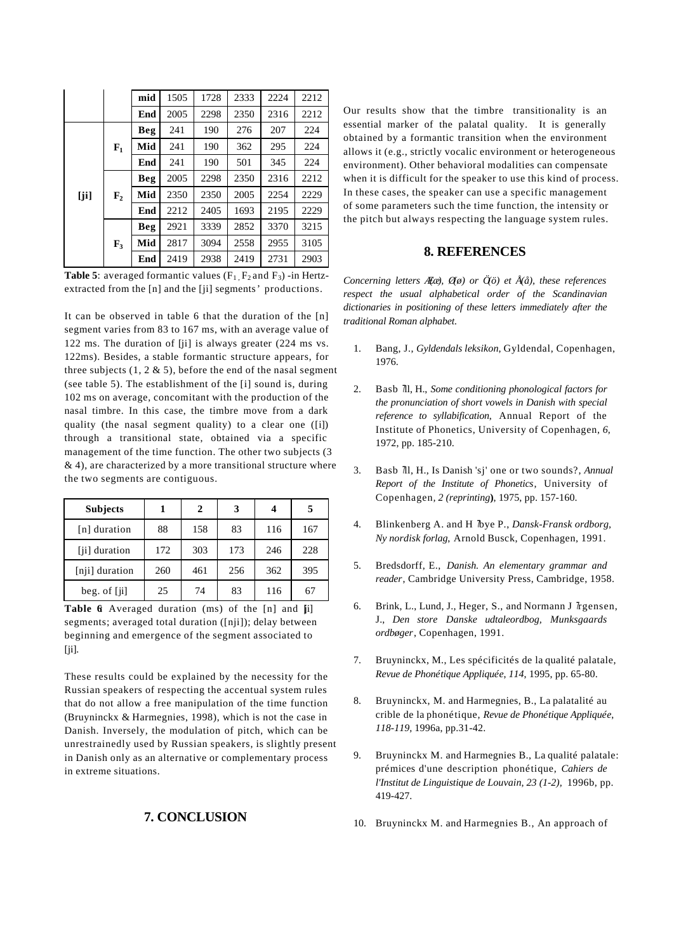|     |                | mid | 1505 | 1728 | 2333 | 2224 | 2212 |
|-----|----------------|-----|------|------|------|------|------|
|     |                | End | 2005 | 2298 | 2350 | 2316 | 2212 |
|     |                | Beg | 241  | 190  | 276  | 207  | 224  |
|     | $F_1$          | Mid | 241  | 190  | 362  | 295  | 224  |
|     |                | End | 241  | 190  | 501  | 345  | 224  |
|     |                | Beg | 2005 | 2298 | 2350 | 2316 | 2212 |
| [i] | ${\bf F_2}$    | Mid | 2350 | 2350 | 2005 | 2254 | 2229 |
|     |                | End | 2212 | 2405 | 1693 | 2195 | 2229 |
|     |                | Beg | 2921 | 3339 | 2852 | 3370 | 3215 |
|     | $\mathbf{F}_3$ | Mid | 2817 | 3094 | 2558 | 2955 | 3105 |
|     |                | End | 2419 | 2938 | 2419 | 2731 | 2903 |

**Table 5**: averaged formantic values  $(F_1, F_2, F_3)$  -in Hertzextracted from the [n] and the [ji] segments' productions.

It can be observed in table 6 that the duration of the [n] segment varies from 83 to 167 ms, with an average value of 122 ms. The duration of [ji] is always greater (224 ms vs. 122ms). Besides, a stable formantic structure appears, for three subjects  $(1, 2 \& 5)$ , before the end of the nasal segment (see table 5). The establishment of the [i] sound is, during 102 ms on average, concomitant with the production of the nasal timbre. In this case, the timbre move from a dark quality (the nasal segment quality) to a clear one ([i]) through a transitional state, obtained via a specific management of the time function. The other two subjects (3  $\&$  4), are characterized by a more transitional structure where the two segments are contiguous.

| <b>Subjects</b> |     | 2   |     |     | 5   |
|-----------------|-----|-----|-----|-----|-----|
| [n] duration    | 88  | 158 | 83  | 116 | 167 |
| [ji] duration   | 172 | 303 | 173 | 246 | 228 |
| [nji] duration  | 260 | 461 | 256 | 362 | 395 |
| beg. of $[i]$   | 25  | 74  | 83  | 116 | 67  |

Table 6 Averaged duration (ms) of the [n] and [i] segments; averaged total duration ([nji]); delay between beginning and emergence of the segment associated to [ji].

These results could be explained by the necessity for the Russian speakers of respecting the accentual system rules that do not allow a free manipulation of the time function (Bruyninckx & Harmegnies, 1998), which is not the case in Danish. Inversely, the modulation of pitch, which can be unrestrainedly used by Russian speakers, is slightly present in Danish only as an alternative or complementary process in extreme situations.

# **7. CONCLUSION**

Our results show that the timbre transitionality is an essential marker of the palatal quality. It is generally obtained by a formantic transition when the environment allows it (e.g., strictly vocalic environment or heterogeneous environment). Other behavioral modalities can compensate when it is difficult for the speaker to use this kind of process. In these cases, the speaker can use a specific management of some parameters such the time function, the intensity or the pitch but always respecting the language system rules.

# **8. REFERENCES**

*Concerning letters Æ(æ), Ø(ø) or Ö(ö) et Å(å), these references respect the usual alphabetical order of the Scandinavian dictionaries in positioning of these letters immediately after the traditional Roman alphabet.*

- 1. Bang, J., *Gyldendals leksikon*, Gyldendal, Copenhagen, 1976.
- 2. Basb *I*ll, H., *Some conditioning phonological factors for the pronunciation of short vowels in Danish with special reference to syllabification*, Annual Report of the Institute of Phonetics, University of Copenhagen, *6*, 1972, pp. 185-210.
- 3. Basb *I*ll, H., Is Danish 'sj' one or two sounds?, *Annual Report of the Institute of Phonetics*, University of Copenhagen*, 2 (reprinting***)**, 1975, pp. 157-160.
- 4. Blinkenberg A. and H *lbye P., Dansk-Fransk ordborg, Ny nordisk forlag*, Arnold Busck, Copenhagen, 1991.
- 5. Bredsdorff, E., *Danish. An elementary grammar and reader*, Cambridge University Press, Cambridge, 1958.
- 6. Brink, L., Lund, J., Heger, S., and Normann J Trgensen, J., *Den store Danske udtaleordbog, Munksgaards ordbøger*, Copenhagen, 1991.
- 7. Bruyninckx, M., Les spécificités de la qualité palatale, *Revue de Phonétique Appliquée*, *114*, 1995, pp. 65-80.
- 8. Bruyninckx, M. and Harmegnies, B., La palatalité au crible de la phonétique, *Revue de Phonétique Appliquée*, *118-119,* 1996a, pp.31-42.
- 9. Bruyninckx M. and Harmegnies B., La qualité palatale: prémices d'une description phonétique, *Cahiers de l'Institut de Linguistique de Louvain*, *23 (1-2),* 1996b, pp. 419-427.
- 10. Bruyninckx M. and Harmegnies B., An approach of